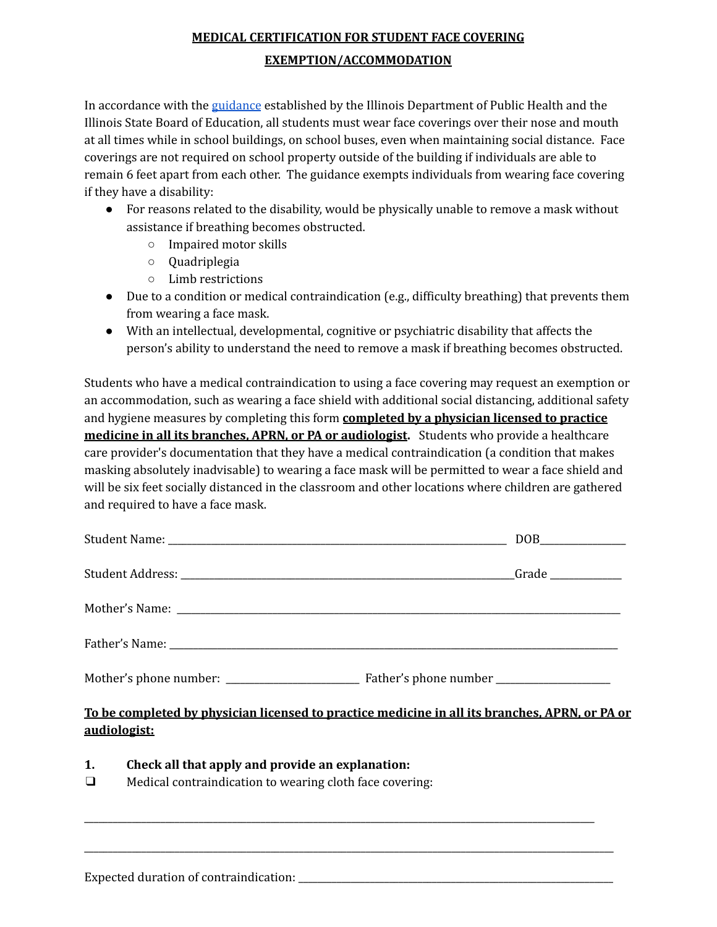## **MEDICAL CERTIFICATION FOR STUDENT FACE COVERING EXEMPTION/ACCOMMODATION**

In accordance with the [guidance](https://www.isbe.net/Documents/Updated-Public-Health-School-Guidance.pdf) established by the Illinois Department of Public Health and the Illinois State Board of Education, all students must wear face coverings over their nose and mouth at all times while in school buildings, on school buses, even when maintaining social distance. Face coverings are not required on school property outside of the building if individuals are able to remain 6 feet apart from each other. The guidance exempts individuals from wearing face covering if they have a disability:

- For reasons related to the disability, would be physically unable to remove a mask without assistance if breathing becomes obstructed.
	- Impaired motor skills
	- Quadriplegia
	- Limb restrictions
- Due to a condition or medical contraindication (e.g., difficulty breathing) that prevents them from wearing a face mask.
- With an intellectual, developmental, cognitive or psychiatric disability that affects the person's ability to understand the need to remove a mask if breathing becomes obstructed.

Students who have a medical contraindication to using a face covering may request an exemption or an accommodation, such as wearing a face shield with additional social distancing, additional safety and hygiene measures by completing this form **completed by a physician licensed to practice medicine in all its branches, APRN, or PA or audiologist.** Students who provide a healthcare care provider's documentation that they have a medical contraindication (a condition that makes masking absolutely inadvisable) to wearing a face mask will be permitted to wear a face shield and will be six feet socially distanced in the classroom and other locations where children are gathered and required to have a face mask.

## **To be completed by physician licensed to practice medicine in all its branches, APRN, or PA or audiologist:**

\_\_\_\_\_\_\_\_\_\_\_\_\_\_\_\_\_\_\_\_\_\_\_\_\_\_\_\_\_\_\_\_\_\_\_\_\_\_\_\_\_\_\_\_\_\_\_\_\_\_\_\_\_\_\_\_\_\_\_\_\_\_\_\_\_\_\_\_\_\_\_\_\_\_\_\_\_\_\_\_\_\_\_\_\_\_\_\_\_\_\_\_\_\_\_\_\_\_\_\_\_\_\_\_\_\_\_

\_\_\_\_\_\_\_\_\_\_\_\_\_\_\_\_\_\_\_\_\_\_\_\_\_\_\_\_\_\_\_\_\_\_\_\_\_\_\_\_\_\_\_\_\_\_\_\_\_\_\_\_\_\_\_\_\_\_\_\_\_\_\_\_\_\_\_\_\_\_\_\_\_\_\_\_\_\_\_\_\_\_\_\_\_\_\_\_\_\_\_\_\_\_\_\_\_\_\_\_\_\_\_\_\_\_\_\_\_\_\_

- **1. Check all that apply and provide an explanation:**
- ❑ Medical contraindication to wearing cloth face covering: